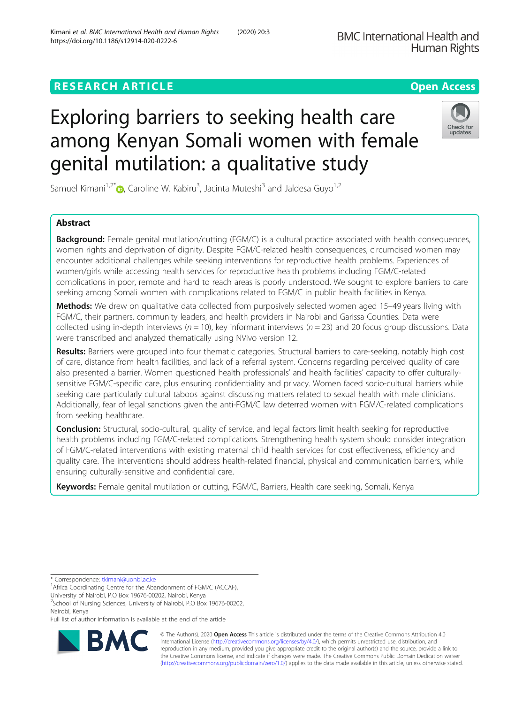# **RESEARCH ARTICLE Example 2014 12:30 The Contract of Contract ACCESS**

# Exploring barriers to seeking health care among Kenyan Somali women with female genital mutilation: a qualitative study

Samuel Kimani<sup>1,2[\\*](http://orcid.org/0000-0003-1537-6804)</sup> $\bullet$ , Caroline W. Kabiru<sup>3</sup>, Jacinta Muteshi<sup>3</sup> and Jaldesa Guyo<sup>1,2</sup>

## Abstract

Background: Female genital mutilation/cutting (FGM/C) is a cultural practice associated with health consequences, women rights and deprivation of dignity. Despite FGM/C-related health consequences, circumcised women may encounter additional challenges while seeking interventions for reproductive health problems. Experiences of women/girls while accessing health services for reproductive health problems including FGM/C-related complications in poor, remote and hard to reach areas is poorly understood. We sought to explore barriers to care seeking among Somali women with complications related to FGM/C in public health facilities in Kenya.

Methods: We drew on qualitative data collected from purposively selected women aged 15–49 years living with FGM/C, their partners, community leaders, and health providers in Nairobi and Garissa Counties. Data were collected using in-depth interviews ( $n = 10$ ), key informant interviews ( $n = 23$ ) and 20 focus group discussions. Data were transcribed and analyzed thematically using NVivo version 12.

Results: Barriers were grouped into four thematic categories. Structural barriers to care-seeking, notably high cost of care, distance from health facilities, and lack of a referral system. Concerns regarding perceived quality of care also presented a barrier. Women questioned health professionals' and health facilities' capacity to offer culturallysensitive FGM/C-specific care, plus ensuring confidentiality and privacy. Women faced socio-cultural barriers while seeking care particularly cultural taboos against discussing matters related to sexual health with male clinicians. Additionally, fear of legal sanctions given the anti-FGM/C law deterred women with FGM/C-related complications from seeking healthcare.

**Conclusion:** Structural, socio-cultural, quality of service, and legal factors limit health seeking for reproductive health problems including FGM/C-related complications. Strengthening health system should consider integration of FGM/C-related interventions with existing maternal child health services for cost effectiveness, efficiency and quality care. The interventions should address health-related financial, physical and communication barriers, while ensuring culturally-sensitive and confidential care.

Keywords: Female genital mutilation or cutting, FGM/C, Barriers, Health care seeking, Somali, Kenya

\* Correspondence: [tkimani@uonbi.ac.ke](mailto:tkimani@uonbi.ac.ke) <sup>1</sup>

R,

<sup>1</sup> Africa Coordinating Centre for the Abandonment of FGM/C (ACCAF), University of Nairobi, P.O Box 19676-00202, Nairobi, Kenya

<sup>2</sup>School of Nursing Sciences, University of Nairobi, P.O Box 19676-00202, Nairobi, Kenya

Full list of author information is available at the end of the article







**Human Rights**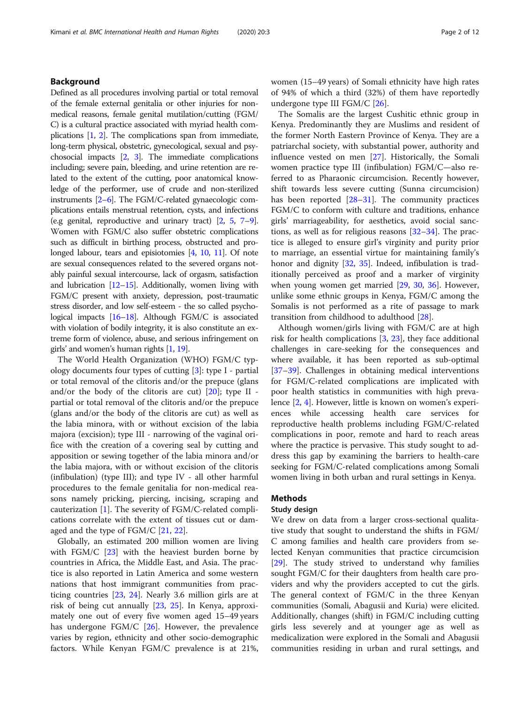## Background

Defined as all procedures involving partial or total removal of the female external genitalia or other injuries for nonmedical reasons, female genital mutilation/cutting (FGM/ C) is a cultural practice associated with myriad health complications [[1](#page-10-0), [2\]](#page-10-0). The complications span from immediate, long-term physical, obstetric, gynecological, sexual and psychosocial impacts [\[2,](#page-10-0) [3\]](#page-10-0). The immediate complications including; severe pain, bleeding, and urine retention are related to the extent of the cutting, poor anatomical knowledge of the performer, use of crude and non-sterilized instruments [\[2](#page-10-0)–[6](#page-10-0)]. The FGM/C-related gynaecologic complications entails menstrual retention, cysts, and infections (e.g genital, reproductive and urinary tract) [\[2,](#page-10-0) [5,](#page-10-0) [7](#page-10-0)–[9](#page-10-0)]. Women with FGM/C also suffer obstetric complications such as difficult in birthing process, obstructed and prolonged labour, tears and episiotomies [\[4](#page-10-0), [10,](#page-10-0) [11\]](#page-10-0). Of note are sexual consequences related to the severed organs notably painful sexual intercourse, lack of orgasm, satisfaction and lubrication  $[12–15]$  $[12–15]$  $[12–15]$  $[12–15]$ . Additionally, women living with FGM/C present with anxiety, depression, post-traumatic stress disorder, and low self-esteem - the so called psychological impacts [\[16](#page-10-0)–[18\]](#page-10-0). Although FGM/C is associated with violation of bodily integrity, it is also constitute an extreme form of violence, abuse, and serious infringement on girls' and women's human rights [[1](#page-10-0), [19](#page-10-0)].

The World Health Organization (WHO) FGM/C typology documents four types of cutting [[3\]](#page-10-0): type I - partial or total removal of the clitoris and/or the prepuce (glans and/or the body of the clitoris are cut)  $[20]$  $[20]$ ; type II partial or total removal of the clitoris and/or the prepuce (glans and/or the body of the clitoris are cut) as well as the labia minora, with or without excision of the labia majora (excision); type III - narrowing of the vaginal orifice with the creation of a covering seal by cutting and apposition or sewing together of the labia minora and/or the labia majora, with or without excision of the clitoris (infibulation) (type III); and type IV - all other harmful procedures to the female genitalia for non-medical reasons namely pricking, piercing, incising, scraping and cauterization [[1\]](#page-10-0). The severity of FGM/C-related complications correlate with the extent of tissues cut or damaged and the type of FGM/C [\[21,](#page-10-0) [22\]](#page-10-0).

Globally, an estimated 200 million women are living with FGM/C [\[23\]](#page-10-0) with the heaviest burden borne by countries in Africa, the Middle East, and Asia. The practice is also reported in Latin America and some western nations that host immigrant communities from practicing countries [[23,](#page-10-0) [24\]](#page-10-0). Nearly 3.6 million girls are at risk of being cut annually [[23,](#page-10-0) [25](#page-10-0)]. In Kenya, approximately one out of every five women aged 15–49 years has undergone FGM/C [[26](#page-10-0)]. However, the prevalence varies by region, ethnicity and other socio-demographic factors. While Kenyan FGM/C prevalence is at 21%, women (15–49 years) of Somali ethnicity have high rates of 94% of which a third (32%) of them have reportedly undergone type III FGM/C [[26\]](#page-10-0).

The Somalis are the largest Cushitic ethnic group in Kenya. Predominantly they are Muslims and resident of the former North Eastern Province of Kenya. They are a patriarchal society, with substantial power, authority and influence vested on men [[27\]](#page-10-0). Historically, the Somali women practice type III (infibulation) FGM/C—also referred to as Pharaonic circumcision. Recently however, shift towards less severe cutting (Sunna circumcision) has been reported [\[28](#page-10-0)–[31\]](#page-10-0). The community practices FGM/C to conform with culture and traditions, enhance girls' marriageability, for aesthetics, avoid social sanctions, as well as for religious reasons [\[32](#page-10-0)–[34\]](#page-10-0). The practice is alleged to ensure girl's virginity and purity prior to marriage, an essential virtue for maintaining family's honor and dignity [[32,](#page-10-0) [35\]](#page-10-0). Indeed, infibulation is traditionally perceived as proof and a marker of virginity when young women get married [[29,](#page-10-0) [30,](#page-10-0) [36\]](#page-10-0). However, unlike some ethnic groups in Kenya, FGM/C among the Somalis is not performed as a rite of passage to mark transition from childhood to adulthood [\[28\]](#page-10-0).

Although women/girls living with FGM/C are at high risk for health complications [\[3](#page-10-0), [23\]](#page-10-0), they face additional challenges in care-seeking for the consequences and where available, it has been reported as sub-optimal [[37](#page-10-0)–[39](#page-11-0)]. Challenges in obtaining medical interventions for FGM/C-related complications are implicated with poor health statistics in communities with high prevalence [[2,](#page-10-0) [4\]](#page-10-0). However, little is known on women's experiences while accessing health care services for reproductive health problems including FGM/C-related complications in poor, remote and hard to reach areas where the practice is pervasive. This study sought to address this gap by examining the barriers to health-care seeking for FGM/C-related complications among Somali women living in both urban and rural settings in Kenya.

## Methods

### Study design

We drew on data from a larger cross-sectional qualitative study that sought to understand the shifts in FGM/ C among families and health care providers from selected Kenyan communities that practice circumcision [[29\]](#page-10-0). The study strived to understand why families sought FGM/C for their daughters from health care providers and why the providers accepted to cut the girls. The general context of FGM/C in the three Kenyan communities (Somali, Abagusii and Kuria) were elicited. Additionally, changes (shift) in FGM/C including cutting girls less severely and at younger age as well as medicalization were explored in the Somali and Abagusii communities residing in urban and rural settings, and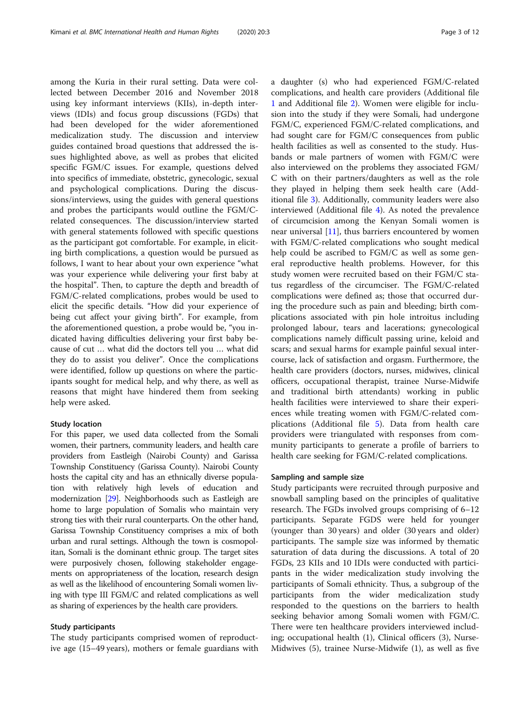among the Kuria in their rural setting. Data were collected between December 2016 and November 2018 using key informant interviews (KIIs), in-depth interviews (IDIs) and focus group discussions (FGDs) that had been developed for the wider aforementioned medicalization study. The discussion and interview guides contained broad questions that addressed the issues highlighted above, as well as probes that elicited specific FGM/C issues. For example, questions delved into specifics of immediate, obstetric, gynecologic, sexual and psychological complications. During the discussions/interviews, using the guides with general questions and probes the participants would outline the FGM/Crelated consequences. The discussion/interview started with general statements followed with specific questions as the participant got comfortable. For example, in eliciting birth complications, a question would be pursued as follows, I want to hear about your own experience "what was your experience while delivering your first baby at the hospital". Then, to capture the depth and breadth of FGM/C-related complications, probes would be used to elicit the specific details. "How did your experience of being cut affect your giving birth". For example, from the aforementioned question, a probe would be, "you indicated having difficulties delivering your first baby because of cut … what did the doctors tell you … what did they do to assist you deliver". Once the complications were identified, follow up questions on where the participants sought for medical help, and why there, as well as reasons that might have hindered them from seeking help were asked.

#### Study location

For this paper, we used data collected from the Somali women, their partners, community leaders, and health care providers from Eastleigh (Nairobi County) and Garissa Township Constituency (Garissa County). Nairobi County hosts the capital city and has an ethnically diverse population with relatively high levels of education and modernization [\[29\]](#page-10-0). Neighborhoods such as Eastleigh are home to large population of Somalis who maintain very strong ties with their rural counterparts. On the other hand, Garissa Township Constituency comprises a mix of both urban and rural settings. Although the town is cosmopolitan, Somali is the dominant ethnic group. The target sites were purposively chosen, following stakeholder engagements on appropriateness of the location, research design as well as the likelihood of encountering Somali women living with type III FGM/C and related complications as well as sharing of experiences by the health care providers.

## Study participants

The study participants comprised women of reproductive age (15–49 years), mothers or female guardians with a daughter (s) who had experienced FGM/C-related complications, and health care providers (Additional file [1](#page-9-0) and Additional file [2](#page-9-0)). Women were eligible for inclusion into the study if they were Somali, had undergone FGM/C, experienced FGM/C-related complications, and had sought care for FGM/C consequences from public health facilities as well as consented to the study. Husbands or male partners of women with FGM/C were also interviewed on the problems they associated FGM/ C with on their partners/daughters as well as the role they played in helping them seek health care (Additional file [3](#page-9-0)). Additionally, community leaders were also interviewed (Additional file [4](#page-9-0)). As noted the prevalence of circumcision among the Kenyan Somali women is near universal [[11](#page-10-0)], thus barriers encountered by women with FGM/C-related complications who sought medical help could be ascribed to FGM/C as well as some general reproductive health problems. However, for this study women were recruited based on their FGM/C status regardless of the circumciser. The FGM/C-related complications were defined as; those that occurred during the procedure such as pain and bleeding; birth complications associated with pin hole introitus including prolonged labour, tears and lacerations; gynecological complications namely difficult passing urine, keloid and scars; and sexual harms for example painful sexual intercourse, lack of satisfaction and orgasm. Furthermore, the health care providers (doctors, nurses, midwives, clinical officers, occupational therapist, trainee Nurse-Midwife and traditional birth attendants) working in public health facilities were interviewed to share their experiences while treating women with FGM/C-related complications (Additional file [5\)](#page-9-0). Data from health care providers were triangulated with responses from community participants to generate a profile of barriers to health care seeking for FGM/C-related complications.

#### Sampling and sample size

Study participants were recruited through purposive and snowball sampling based on the principles of qualitative research. The FGDs involved groups comprising of 6–12 participants. Separate FGDS were held for younger (younger than 30 years) and older (30 years and older) participants. The sample size was informed by thematic saturation of data during the discussions. A total of 20 FGDs, 23 KIIs and 10 IDIs were conducted with participants in the wider medicalization study involving the participants of Somali ethnicity. Thus, a subgroup of the participants from the wider medicalization study responded to the questions on the barriers to health seeking behavior among Somali women with FGM/C. There were ten healthcare providers interviewed including; occupational health (1), Clinical officers (3), Nurse-Midwives (5), trainee Nurse-Midwife (1), as well as five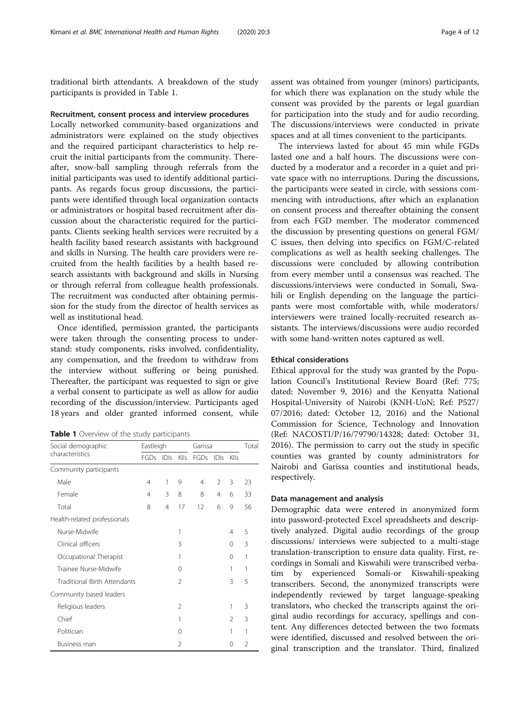traditional birth attendants. A breakdown of the study participants is provided in Table 1.

#### Recruitment, consent process and interview procedures

Locally networked community-based organizations and administrators were explained on the study objectives and the required participant characteristics to help recruit the initial participants from the community. Thereafter, snow-ball sampling through referrals from the initial participants was used to identify additional participants. As regards focus group discussions, the participants were identified through local organization contacts or administrators or hospital based recruitment after discussion about the characteristic required for the participants. Clients seeking health services were recruited by a health facility based research assistants with background and skills in Nursing. The health care providers were recruited from the health facilities by a health based research assistants with background and skills in Nursing or through referral from colleague health professionals. The recruitment was conducted after obtaining permission for the study from the director of health services as well as institutional head.

Once identified, permission granted, the participants were taken through the consenting process to understand: study components, risks involved, confidentiality, any compensation, and the freedom to withdraw from the interview without suffering or being punished. Thereafter, the participant was requested to sign or give a verbal consent to participate as well as allow for audio recording of the discussion/interview. Participants aged 18 years and older granted informed consent, while

**Table 1** Overview of the study participants

| Social demographic<br>characteristics | Eastleigh |   |                | Garissa        |                |                | Total |
|---------------------------------------|-----------|---|----------------|----------------|----------------|----------------|-------|
|                                       | FGDs      |   | IDIs KIIs      | FGDs IDIs      |                | KIIs           |       |
| Community participants                |           |   |                |                |                |                |       |
| Male                                  | 4         | 1 | 9              | $\overline{4}$ | $\mathfrak{D}$ | 3              | 23    |
| Female                                | 4         | 3 | 8              | 8              | 4              | 6              | 33    |
| Total                                 | 8         | 4 | 17             | 12             | 6              | 9              | 56    |
| Health-related professionals          |           |   |                |                |                |                |       |
| Nurse-Midwife                         |           |   | 1              |                |                | 4              | 5     |
| Clinical officers                     |           |   | 3              |                |                | $\Omega$       | 3     |
| Occupational Therapist                |           |   | 1              |                |                | 0              | 1     |
| Trainee Nurse-Midwife                 |           |   | 0              |                |                | 1              | 1     |
| <b>Traditional Birth Attendants</b>   |           |   | $\overline{2}$ |                |                | 3              | 5     |
| Community based leaders               |           |   |                |                |                |                |       |
| Religious leaders                     |           |   | $\mathfrak{D}$ |                |                | 1              | 3     |
| Chief                                 |           |   | 1              |                |                | $\mathfrak{D}$ | 3     |
| Politician                            |           |   | $\Omega$       |                |                | 1              | 1     |
| Business man                          |           |   | 2              |                |                | 0              | 2     |

assent was obtained from younger (minors) participants, for which there was explanation on the study while the consent was provided by the parents or legal guardian for participation into the study and for audio recording. The discussions/interviews were conducted in private spaces and at all times convenient to the participants.

The interviews lasted for about 45 min while FGDs lasted one and a half hours. The discussions were conducted by a moderator and a recorder in a quiet and private space with no interruptions. During the discussions, the participants were seated in circle, with sessions commencing with introductions, after which an explanation on consent process and thereafter obtaining the consent from each FGD member. The moderator commenced the discussion by presenting questions on general FGM/ C issues, then delving into specifics on FGM/C-related complications as well as health seeking challenges. The discussions were concluded by allowing contribution from every member until a consensus was reached. The discussions/interviews were conducted in Somali, Swahili or English depending on the language the participants were most comfortable with, while moderators/ interviewers were trained locally-recruited research assistants. The interviews/discussions were audio recorded with some hand-written notes captured as well.

## Ethical considerations

Ethical approval for the study was granted by the Population Council's Institutional Review Board (Ref: 775; dated: November 9, 2016) and the Kenyatta National Hospital-University of Nairobi (KNH-UoN; Ref: P527/ 07/2016; dated: October 12, 2016) and the National Commission for Science, Technology and Innovation (Ref: NACOSTI/P/16/79790/14328; dated: October 31, 2016). The permission to carry out the study in specific counties was granted by county administrators for Nairobi and Garissa counties and institutional heads, respectively.

### Data management and analysis

Demographic data were entered in anonymized form into password-protected Excel spreadsheets and descriptively analyzed. Digital audio recordings of the group discussions/ interviews were subjected to a multi-stage translation-transcription to ensure data quality. First, recordings in Somali and Kiswahili were transcribed verbatim by experienced Somali-or Kiswahili-speaking transcribers. Second, the anonymized transcripts were independently reviewed by target language-speaking translators, who checked the transcripts against the original audio recordings for accuracy, spellings and content. Any differences detected between the two formats were identified, discussed and resolved between the original transcription and the translator. Third, finalized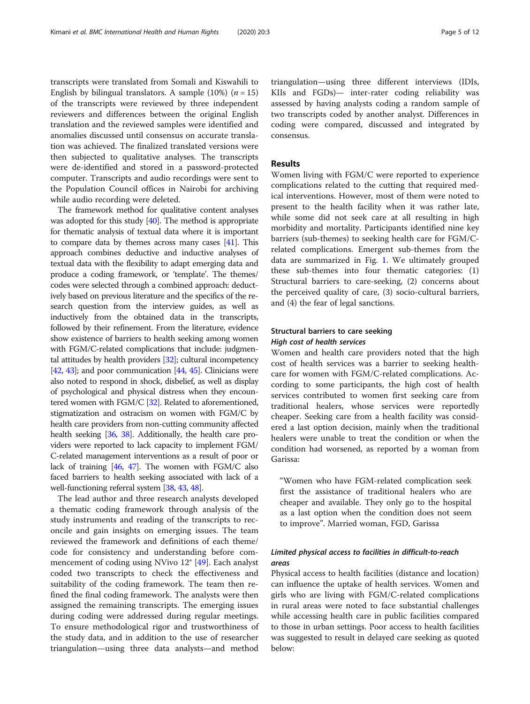transcripts were translated from Somali and Kiswahili to English by bilingual translators. A sample (10%) ( $n = 15$ ) of the transcripts were reviewed by three independent reviewers and differences between the original English translation and the reviewed samples were identified and anomalies discussed until consensus on accurate translation was achieved. The finalized translated versions were then subjected to qualitative analyses. The transcripts were de-identified and stored in a password-protected computer. Transcripts and audio recordings were sent to the Population Council offices in Nairobi for archiving while audio recording were deleted.

The framework method for qualitative content analyses was adopted for this study [\[40](#page-11-0)]. The method is appropriate for thematic analysis of textual data where it is important to compare data by themes across many cases [\[41\]](#page-11-0). This approach combines deductive and inductive analyses of textual data with the flexibility to adapt emerging data and produce a coding framework, or 'template'. The themes/ codes were selected through a combined approach: deductively based on previous literature and the specifics of the research question from the interview guides, as well as inductively from the obtained data in the transcripts, followed by their refinement. From the literature, evidence show existence of barriers to health seeking among women with FGM/C-related complications that include: judgmental attitudes by health providers [\[32](#page-10-0)]; cultural incompetency [[42](#page-11-0), [43\]](#page-11-0); and poor communication [\[44,](#page-11-0) [45](#page-11-0)]. Clinicians were also noted to respond in shock, disbelief, as well as display of psychological and physical distress when they encountered women with FGM/C [\[32\]](#page-10-0). Related to aforementioned, stigmatization and ostracism on women with FGM/C by health care providers from non-cutting community affected health seeking [[36](#page-10-0), [38\]](#page-11-0). Additionally, the health care providers were reported to lack capacity to implement FGM/ C-related management interventions as a result of poor or lack of training  $[46, 47]$  $[46, 47]$  $[46, 47]$  $[46, 47]$  $[46, 47]$ . The women with FGM/C also faced barriers to health seeking associated with lack of a well-functioning referral system [\[38,](#page-11-0) [43,](#page-11-0) [48\]](#page-11-0).

The lead author and three research analysts developed a thematic coding framework through analysis of the study instruments and reading of the transcripts to reconcile and gain insights on emerging issues. The team reviewed the framework and definitions of each theme/ code for consistency and understanding before commencement of coding using NVivo 12® [[49\]](#page-11-0). Each analyst coded two transcripts to check the effectiveness and suitability of the coding framework. The team then refined the final coding framework. The analysts were then assigned the remaining transcripts. The emerging issues during coding were addressed during regular meetings. To ensure methodological rigor and trustworthiness of the study data, and in addition to the use of researcher triangulation—using three data analysts—and method triangulation—using three different interviews (IDIs, KIIs and FGDs)— inter-rater coding reliability was assessed by having analysts coding a random sample of two transcripts coded by another analyst. Differences in coding were compared, discussed and integrated by consensus.

## Results

Women living with FGM/C were reported to experience complications related to the cutting that required medical interventions. However, most of them were noted to present to the health facility when it was rather late, while some did not seek care at all resulting in high morbidity and mortality. Participants identified nine key barriers (sub-themes) to seeking health care for FGM/Crelated complications. Emergent sub-themes from the data are summarized in Fig. [1](#page-5-0). We ultimately grouped these sub-themes into four thematic categories: (1) Structural barriers to care-seeking, (2) concerns about the perceived quality of care, (3) socio-cultural barriers, and (4) the fear of legal sanctions.

## Structural barriers to care seeking High cost of health services

Women and health care providers noted that the high cost of health services was a barrier to seeking healthcare for women with FGM/C-related complications. According to some participants, the high cost of health services contributed to women first seeking care from traditional healers, whose services were reportedly cheaper. Seeking care from a health facility was considered a last option decision, mainly when the traditional healers were unable to treat the condition or when the condition had worsened, as reported by a woman from Garissa:

"Women who have FGM-related complication seek first the assistance of traditional healers who are cheaper and available. They only go to the hospital as a last option when the condition does not seem to improve". Married woman, FGD, Garissa

## Limited physical access to facilities in difficult-to-reach areas

Physical access to health facilities (distance and location) can influence the uptake of health services. Women and girls who are living with FGM/C-related complications in rural areas were noted to face substantial challenges while accessing health care in public facilities compared to those in urban settings. Poor access to health facilities was suggested to result in delayed care seeking as quoted below: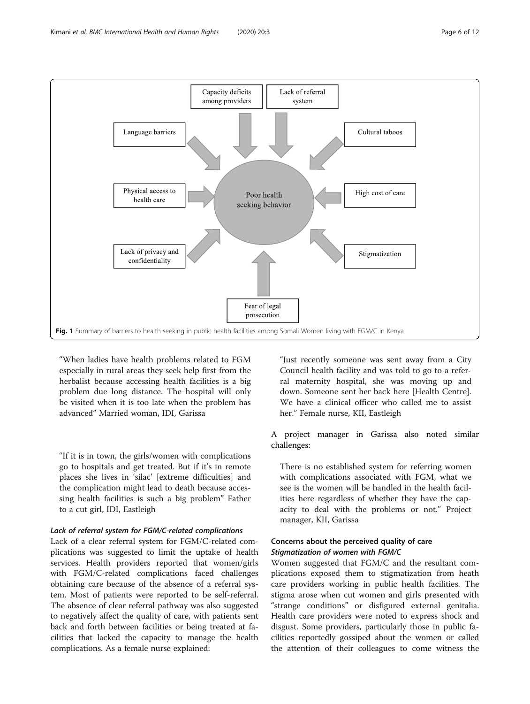<span id="page-5-0"></span>

"When ladies have health problems related to FGM especially in rural areas they seek help first from the herbalist because accessing health facilities is a big problem due long distance. The hospital will only be visited when it is too late when the problem has advanced" Married woman, IDI, Garissa

"If it is in town, the girls/women with complications go to hospitals and get treated. But if it's in remote places she lives in 'silac' [extreme difficulties] and the complication might lead to death because accessing health facilities is such a big problem" Father to a cut girl, IDI, Eastleigh

## Lack of referral system for FGM/C-related complications

Lack of a clear referral system for FGM/C-related complications was suggested to limit the uptake of health services. Health providers reported that women/girls with FGM/C-related complications faced challenges obtaining care because of the absence of a referral system. Most of patients were reported to be self-referral. The absence of clear referral pathway was also suggested to negatively affect the quality of care, with patients sent back and forth between facilities or being treated at facilities that lacked the capacity to manage the health complications. As a female nurse explained:

"Just recently someone was sent away from a City Council health facility and was told to go to a referral maternity hospital, she was moving up and down. Someone sent her back here [Health Centre]. We have a clinical officer who called me to assist her." Female nurse, KII, Eastleigh

A project manager in Garissa also noted similar challenges:

There is no established system for referring women with complications associated with FGM, what we see is the women will be handled in the health facilities here regardless of whether they have the capacity to deal with the problems or not." Project manager, KII, Garissa

## Concerns about the perceived quality of care Stigmatization of women with FGM/C

Women suggested that FGM/C and the resultant complications exposed them to stigmatization from heath care providers working in public health facilities. The stigma arose when cut women and girls presented with "strange conditions" or disfigured external genitalia. Health care providers were noted to express shock and disgust. Some providers, particularly those in public facilities reportedly gossiped about the women or called the attention of their colleagues to come witness the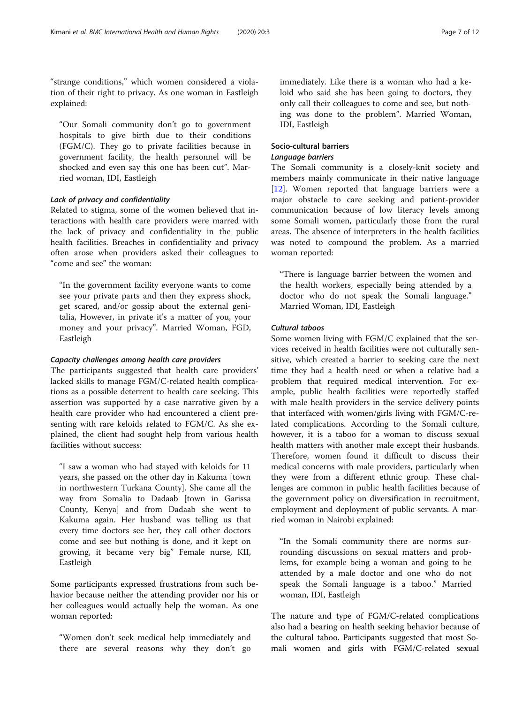"strange conditions," which women considered a violation of their right to privacy. As one woman in Eastleigh explained:

"Our Somali community don't go to government hospitals to give birth due to their conditions (FGM/C). They go to private facilities because in government facility, the health personnel will be shocked and even say this one has been cut". Married woman, IDI, Eastleigh

## Lack of privacy and confidentiality

Related to stigma, some of the women believed that interactions with health care providers were marred with the lack of privacy and confidentiality in the public health facilities. Breaches in confidentiality and privacy often arose when providers asked their colleagues to "come and see" the woman:

"In the government facility everyone wants to come see your private parts and then they express shock, get scared, and/or gossip about the external genitalia, However, in private it's a matter of you, your money and your privacy". Married Woman, FGD, Eastleigh

## Capacity challenges among health care providers

The participants suggested that health care providers' lacked skills to manage FGM/C-related health complications as a possible deterrent to health care seeking. This assertion was supported by a case narrative given by a health care provider who had encountered a client presenting with rare keloids related to FGM/C. As she explained, the client had sought help from various health facilities without success:

"I saw a woman who had stayed with keloids for 11 years, she passed on the other day in Kakuma [town in northwestern Turkana County]. She came all the way from Somalia to Dadaab [town in Garissa County, Kenya] and from Dadaab she went to Kakuma again. Her husband was telling us that every time doctors see her, they call other doctors come and see but nothing is done, and it kept on growing, it became very big" Female nurse, KII, Eastleigh

Some participants expressed frustrations from such behavior because neither the attending provider nor his or her colleagues would actually help the woman. As one woman reported:

"Women don't seek medical help immediately and there are several reasons why they don't go immediately. Like there is a woman who had a keloid who said she has been going to doctors, they only call their colleagues to come and see, but nothing was done to the problem". Married Woman, IDI, Eastleigh

## Socio-cultural barriers

## Language barriers

The Somali community is a closely-knit society and members mainly communicate in their native language [[12\]](#page-10-0). Women reported that language barriers were a major obstacle to care seeking and patient-provider communication because of low literacy levels among some Somali women, particularly those from the rural areas. The absence of interpreters in the health facilities was noted to compound the problem. As a married woman reported:

"There is language barrier between the women and the health workers, especially being attended by a doctor who do not speak the Somali language." Married Woman, IDI, Eastleigh

## Cultural taboos

Some women living with FGM/C explained that the services received in health facilities were not culturally sensitive, which created a barrier to seeking care the next time they had a health need or when a relative had a problem that required medical intervention. For example, public health facilities were reportedly staffed with male health providers in the service delivery points that interfaced with women/girls living with FGM/C-related complications. According to the Somali culture, however, it is a taboo for a woman to discuss sexual health matters with another male except their husbands. Therefore, women found it difficult to discuss their medical concerns with male providers, particularly when they were from a different ethnic group. These challenges are common in public health facilities because of the government policy on diversification in recruitment, employment and deployment of public servants. A married woman in Nairobi explained:

"In the Somali community there are norms surrounding discussions on sexual matters and problems, for example being a woman and going to be attended by a male doctor and one who do not speak the Somali language is a taboo." Married woman, IDI, Eastleigh

The nature and type of FGM/C-related complications also had a bearing on health seeking behavior because of the cultural taboo. Participants suggested that most Somali women and girls with FGM/C-related sexual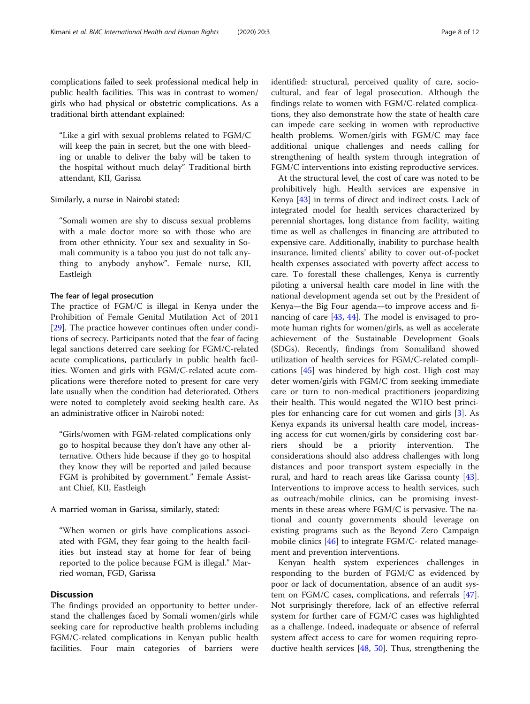complications failed to seek professional medical help in public health facilities. This was in contrast to women/ girls who had physical or obstetric complications. As a traditional birth attendant explained:

"Like a girl with sexual problems related to FGM/C will keep the pain in secret, but the one with bleeding or unable to deliver the baby will be taken to the hospital without much delay" Traditional birth attendant, KII, Garissa

Similarly, a nurse in Nairobi stated:

"Somali women are shy to discuss sexual problems with a male doctor more so with those who are from other ethnicity. Your sex and sexuality in Somali community is a taboo you just do not talk anything to anybody anyhow". Female nurse, KII, Eastleigh

### The fear of legal prosecution

The practice of FGM/C is illegal in Kenya under the Prohibition of Female Genital Mutilation Act of 2011 [[29\]](#page-10-0). The practice however continues often under conditions of secrecy. Participants noted that the fear of facing legal sanctions deterred care seeking for FGM/C-related acute complications, particularly in public health facilities. Women and girls with FGM/C-related acute complications were therefore noted to present for care very late usually when the condition had deteriorated. Others were noted to completely avoid seeking health care. As an administrative officer in Nairobi noted:

"Girls/women with FGM-related complications only go to hospital because they don't have any other alternative. Others hide because if they go to hospital they know they will be reported and jailed because FGM is prohibited by government." Female Assistant Chief, KII, Eastleigh

A married woman in Garissa, similarly, stated:

"When women or girls have complications associated with FGM, they fear going to the health facilities but instead stay at home for fear of being reported to the police because FGM is illegal." Married woman, FGD, Garissa

## **Discussion**

The findings provided an opportunity to better understand the challenges faced by Somali women/girls while seeking care for reproductive health problems including FGM/C-related complications in Kenyan public health facilities. Four main categories of barriers were identified: structural, perceived quality of care, sociocultural, and fear of legal prosecution. Although the findings relate to women with FGM/C-related complications, they also demonstrate how the state of health care can impede care seeking in women with reproductive health problems. Women/girls with FGM/C may face additional unique challenges and needs calling for strengthening of health system through integration of FGM/C interventions into existing reproductive services.

At the structural level, the cost of care was noted to be prohibitively high. Health services are expensive in Kenya [\[43](#page-11-0)] in terms of direct and indirect costs. Lack of integrated model for health services characterized by perennial shortages, long distance from facility, waiting time as well as challenges in financing are attributed to expensive care. Additionally, inability to purchase health insurance, limited clients' ability to cover out-of-pocket health expenses associated with poverty affect access to care. To forestall these challenges, Kenya is currently piloting a universal health care model in line with the national development agenda set out by the President of Kenya—the Big Four agenda—to improve access and financing of care [\[43,](#page-11-0) [44](#page-11-0)]. The model is envisaged to promote human rights for women/girls, as well as accelerate achievement of the Sustainable Development Goals (SDGs). Recently, findings from Somaliland showed utilization of health services for FGM/C-related complications [[45\]](#page-11-0) was hindered by high cost. High cost may deter women/girls with FGM/C from seeking immediate care or turn to non-medical practitioners jeopardizing their health. This would negated the WHO best principles for enhancing care for cut women and girls [[3\]](#page-10-0). As Kenya expands its universal health care model, increasing access for cut women/girls by considering cost barriers should be a priority intervention. The considerations should also address challenges with long distances and poor transport system especially in the rural, and hard to reach areas like Garissa county [\[43](#page-11-0)]. Interventions to improve access to health services, such as outreach/mobile clinics, can be promising investments in these areas where FGM/C is pervasive. The national and county governments should leverage on existing programs such as the Beyond Zero Campaign mobile clinics [[46\]](#page-11-0) to integrate FGM/C- related management and prevention interventions.

Kenyan health system experiences challenges in responding to the burden of FGM/C as evidenced by poor or lack of documentation, absence of an audit system on FGM/C cases, complications, and referrals [\[47](#page-11-0)]. Not surprisingly therefore, lack of an effective referral system for further care of FGM/C cases was highlighted as a challenge. Indeed, inadequate or absence of referral system affect access to care for women requiring reproductive health services [[48,](#page-11-0) [50](#page-11-0)]. Thus, strengthening the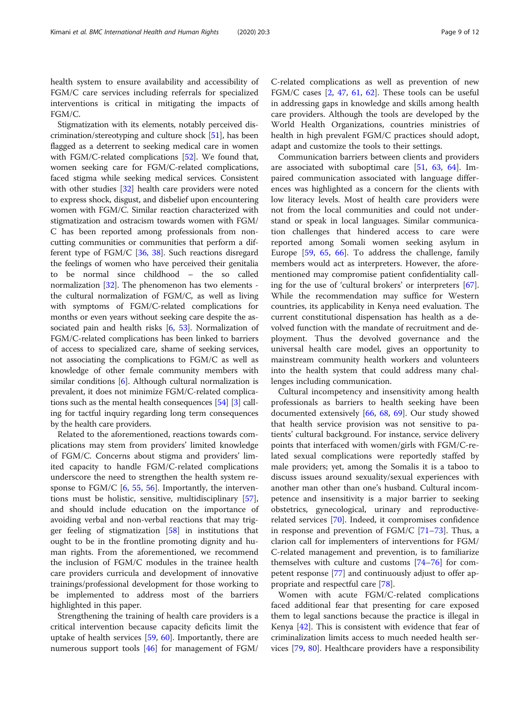health system to ensure availability and accessibility of FGM/C care services including referrals for specialized interventions is critical in mitigating the impacts of FGM/C.

Stigmatization with its elements, notably perceived discrimination/stereotyping and culture shock [\[51\]](#page-11-0), has been flagged as a deterrent to seeking medical care in women with FGM/C-related complications [[52](#page-11-0)]. We found that, women seeking care for FGM/C-related complications, faced stigma while seeking medical services. Consistent with other studies [[32\]](#page-10-0) health care providers were noted to express shock, disgust, and disbelief upon encountering women with FGM/C. Similar reaction characterized with stigmatization and ostracism towards women with FGM/ C has been reported among professionals from noncutting communities or communities that perform a different type of FGM/C [\[36,](#page-10-0) [38\]](#page-11-0). Such reactions disregard the feelings of women who have perceived their genitalia to be normal since childhood – the so called normalization [[32\]](#page-10-0). The phenomenon has two elements the cultural normalization of FGM/C, as well as living with symptoms of FGM/C-related complications for months or even years without seeking care despite the associated pain and health risks [[6](#page-10-0), [53\]](#page-11-0). Normalization of FGM/C-related complications has been linked to barriers of access to specialized care, shame of seeking services, not associating the complications to FGM/C as well as knowledge of other female community members with similar conditions [[6\]](#page-10-0). Although cultural normalization is prevalent, it does not minimize FGM/C-related complications such as the mental health consequences [\[54\]](#page-11-0) [[3\]](#page-10-0) calling for tactful inquiry regarding long term consequences by the health care providers.

Related to the aforementioned, reactions towards complications may stem from providers' limited knowledge of FGM/C. Concerns about stigma and providers' limited capacity to handle FGM/C-related complications underscore the need to strengthen the health system response to  $FGM/C$  [\[6](#page-10-0), [55,](#page-11-0) [56\]](#page-11-0). Importantly, the interventions must be holistic, sensitive, multidisciplinary [\[57](#page-11-0)], and should include education on the importance of avoiding verbal and non-verbal reactions that may trigger feeling of stigmatization [\[58](#page-11-0)] in institutions that ought to be in the frontline promoting dignity and human rights. From the aforementioned, we recommend the inclusion of FGM/C modules in the trainee health care providers curricula and development of innovative trainings/professional development for those working to be implemented to address most of the barriers highlighted in this paper.

Strengthening the training of health care providers is a critical intervention because capacity deficits limit the uptake of health services  $[59, 60]$  $[59, 60]$  $[59, 60]$  $[59, 60]$ . Importantly, there are numerous support tools [\[46](#page-11-0)] for management of FGM/

C-related complications as well as prevention of new FGM/C cases [\[2](#page-10-0), [47](#page-11-0), [61](#page-11-0), [62](#page-11-0)]. These tools can be useful in addressing gaps in knowledge and skills among health care providers. Although the tools are developed by the World Health Organizations, countries ministries of health in high prevalent FGM/C practices should adopt, adapt and customize the tools to their settings.

Communication barriers between clients and providers are associated with suboptimal care [\[51](#page-11-0), [63,](#page-11-0) [64\]](#page-11-0). Impaired communication associated with language differences was highlighted as a concern for the clients with low literacy levels. Most of health care providers were not from the local communities and could not understand or speak in local languages. Similar communication challenges that hindered access to care were reported among Somali women seeking asylum in Europe [\[59](#page-11-0), [65](#page-11-0), [66\]](#page-11-0). To address the challenge, family members would act as interpreters. However, the aforementioned may compromise patient confidentiality calling for the use of 'cultural brokers' or interpreters [\[67](#page-11-0)]. While the recommendation may suffice for Western countries, its applicability in Kenya need evaluation. The current constitutional dispensation has health as a devolved function with the mandate of recruitment and deployment. Thus the devolved governance and the universal health care model, gives an opportunity to mainstream community health workers and volunteers into the health system that could address many challenges including communication.

Cultural incompetency and insensitivity among health professionals as barriers to health seeking have been documented extensively [[66,](#page-11-0) [68,](#page-11-0) [69](#page-11-0)]. Our study showed that health service provision was not sensitive to patients' cultural background. For instance, service delivery points that interfaced with women/girls with FGM/C-related sexual complications were reportedly staffed by male providers; yet, among the Somalis it is a taboo to discuss issues around sexuality/sexual experiences with another man other than one's husband. Cultural incompetence and insensitivity is a major barrier to seeking obstetrics, gynecological, urinary and reproductiverelated services [[70](#page-11-0)]. Indeed, it compromises confidence in response and prevention of  $FGM/C$  [[71](#page-11-0)–[73](#page-11-0)]. Thus, a clarion call for implementers of interventions for FGM/ C-related management and prevention, is to familiarize themselves with culture and customs [[74](#page-11-0)–[76](#page-11-0)] for competent response [\[77](#page-11-0)] and continuously adjust to offer appropriate and respectful care [[78\]](#page-11-0).

Women with acute FGM/C-related complications faced additional fear that presenting for care exposed them to legal sanctions because the practice is illegal in Kenya [[42](#page-11-0)]. This is consistent with evidence that fear of criminalization limits access to much needed health services [[79,](#page-11-0) [80](#page-11-0)]. Healthcare providers have a responsibility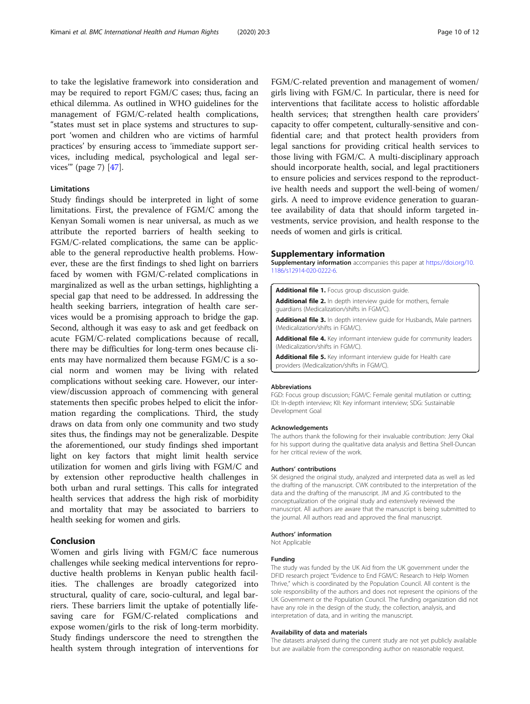<span id="page-9-0"></span>to take the legislative framework into consideration and may be required to report FGM/C cases; thus, facing an ethical dilemma. As outlined in WHO guidelines for the management of FGM/C-related health complications, "states must set in place systems and structures to support 'women and children who are victims of harmful practices' by ensuring access to 'immediate support services, including medical, psychological and legal services'" (page 7) [[47\]](#page-11-0).

#### Limitations

Study findings should be interpreted in light of some limitations. First, the prevalence of FGM/C among the Kenyan Somali women is near universal, as much as we attribute the reported barriers of health seeking to FGM/C-related complications, the same can be applicable to the general reproductive health problems. However, these are the first findings to shed light on barriers faced by women with FGM/C-related complications in marginalized as well as the urban settings, highlighting a special gap that need to be addressed. In addressing the health seeking barriers, integration of health care services would be a promising approach to bridge the gap. Second, although it was easy to ask and get feedback on acute FGM/C-related complications because of recall, there may be difficulties for long-term ones because clients may have normalized them because FGM/C is a social norm and women may be living with related complications without seeking care. However, our interview/discussion approach of commencing with general statements then specific probes helped to elicit the information regarding the complications. Third, the study draws on data from only one community and two study sites thus, the findings may not be generalizable. Despite the aforementioned, our study findings shed important light on key factors that might limit health service utilization for women and girls living with FGM/C and by extension other reproductive health challenges in both urban and rural settings. This calls for integrated health services that address the high risk of morbidity and mortality that may be associated to barriers to health seeking for women and girls.

## Conclusion

Women and girls living with FGM/C face numerous challenges while seeking medical interventions for reproductive health problems in Kenyan public health facilities. The challenges are broadly categorized into structural, quality of care, socio-cultural, and legal barriers. These barriers limit the uptake of potentially lifesaving care for FGM/C-related complications and expose women/girls to the risk of long-term morbidity. Study findings underscore the need to strengthen the health system through integration of interventions for

FGM/C-related prevention and management of women/ girls living with FGM/C. In particular, there is need for interventions that facilitate access to holistic affordable health services; that strengthen health care providers' capacity to offer competent, culturally-sensitive and confidential care; and that protect health providers from legal sanctions for providing critical health services to those living with FGM/C. A multi-disciplinary approach should incorporate health, social, and legal practitioners to ensure policies and services respond to the reproductive health needs and support the well-being of women/ girls. A need to improve evidence generation to guarantee availability of data that should inform targeted investments, service provision, and health response to the needs of women and girls is critical.

#### Supplementary information

Supplementary information accompanies this paper at [https://doi.org/10.](https://doi.org/10.1186/s12914-020-0222-6) [1186/s12914-020-0222-6.](https://doi.org/10.1186/s12914-020-0222-6)

Additional file 1. Focus group discussion guide.

Additional file 2. In depth interview guide for mothers, female guardians (Medicalization/shifts in FGM/C).

Additional file 3. In depth interview guide for Husbands, Male partners (Medicalization/shifts in FGM/C).

Additional file 4. Key informant interview guide for community leaders (Medicalization/shifts in FGM/C).

Additional file 5. Key informant interview guide for Health care providers (Medicalization/shifts in FGM/C).

#### Abbreviations

FGD: Focus group discussion; FGM/C: Female genital mutilation or cutting; IDI: In-depth interview; KII: Key informant interview; SDG: Sustainable Development Goal

#### Acknowledgements

The authors thank the following for their invaluable contribution: Jerry Okal for his support during the qualitative data analysis and Bettina Shell-Duncan for her critical review of the work.

#### Authors' contributions

SK designed the original study, analyzed and interpreted data as well as led the drafting of the manuscript. CWK contributed to the interpretation of the data and the drafting of the manuscript. JM and JG contributed to the conceptualization of the original study and extensively reviewed the manuscript. All authors are aware that the manuscript is being submitted to the journal. All authors read and approved the final manuscript.

#### Authors' information

Not Applicable

#### Funding

The study was funded by the UK Aid from the UK government under the DFID research project "Evidence to End FGM/C: Research to Help Women Thrive," which is coordinated by the Population Council. All content is the sole responsibility of the authors and does not represent the opinions of the UK Government or the Population Council. The funding organization did not have any role in the design of the study, the collection, analysis, and interpretation of data, and in writing the manuscript.

## Availability of data and materials

The datasets analysed during the current study are not yet publicly available but are available from the corresponding author on reasonable request.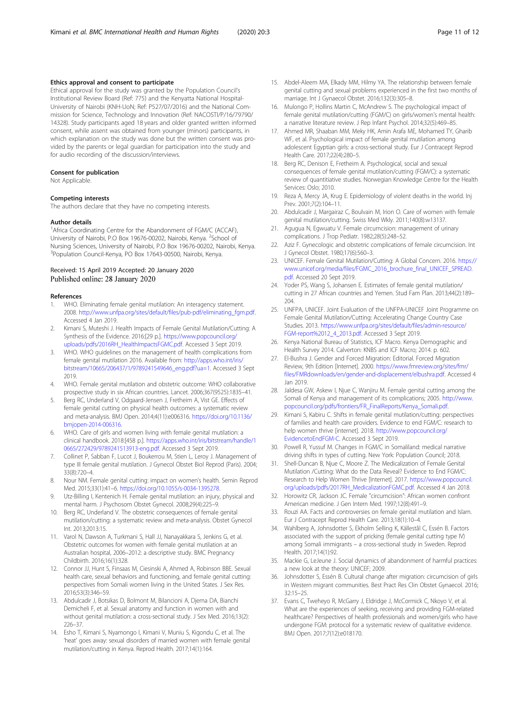## <span id="page-10-0"></span>Ethics approval and consent to participate

Ethical approval for the study was granted by the Population Council's Institutional Review Board (Ref: 775) and the Kenyatta National Hospital-University of Nairobi (KNH-UoN; Ref: P527/07/2016) and the National Commission for Science, Technology and Innovation (Ref: NACOSTI/P/16/79790/ 14328). Study participants aged 18 years and older granted written informed consent, while assent was obtained from younger (minors) participants, in which explanation on the study was done but the written consent was provided by the parents or legal guardian for participation into the study and for audio recording of the discussion/interviews.

#### Consent for publication

Not Applicable.

#### Competing interests

The authors declare that they have no competing interests.

#### Author details

<sup>1</sup> Africa Coordinating Centre for the Abandonment of FGM/C (ACCAF), University of Nairobi, P.O Box 19676-00202, Nairobi, Kenya. <sup>2</sup>School of Nursing Sciences, University of Nairobi, P.O Box 19676-00202, Nairobi, Kenya. 3 Population Council-Kenya, PO Box 17643-00500, Nairobi, Kenya.

### Received: 15 April 2019 Accepted: 20 January 2020 Published online: 28 January 2020

#### References

- 1. WHO. Eliminating female genital mutilation: An interagency statement. 2008. [http://www.unfpa.org/sites/default/files/pub-pdf/eliminating\\_fgm.pdf](http://www.unfpa.org/sites/default/files/pub-pdf/eliminating_fgm.pdf). Accessed 4 Jan 2019.
- 2. Kimani S, Muteshi J. Health Impacts of Female Genital Mutilation/Cutting: A Synthesis of the Evidence. 2016:[29 p.]. [https://www.popcouncil.org/](https://www.popcouncil.org/uploads/pdfs/2016RH_HealthImpactsFGMC.pdf) [uploads/pdfs/2016RH\\_HealthImpactsFGMC.pdf](https://www.popcouncil.org/uploads/pdfs/2016RH_HealthImpactsFGMC.pdf). Accessed 3 Sept 2019.
- WHO. WHO quidelines on the management of health complications from female genital mutilation 2016. Available from: [http://apps.who.int/iris/](http://apps.who.int/iris/bitstream/10665/206437/1/9789241549646_eng.pdf?ua=1) [bitstream/10665/206437/1/9789241549646\\_eng.pdf?ua=1](http://apps.who.int/iris/bitstream/10665/206437/1/9789241549646_eng.pdf?ua=1). Accessed 3 Sept 2019.
- 4. WHO. Female genital mutilation and obstetric outcome: WHO collaborative prospective study in six African countries. Lancet. 2006;367(9525):1835–41.
- 5. Berg RC, Underland V, Odgaard-Jensen J, Fretheim A, Vist GE. Effects of female genital cutting on physical health outcomes: a systematic review and meta-analysis. BMJ Open. 2014;4(11):e006316. [https://doi.org/10.1136/](https://doi.org/10.1136/bmjopen-2014-006316) [bmjopen-2014-006316.](https://doi.org/10.1136/bmjopen-2014-006316)
- 6. WHO. Care of girls and women living with female genital mutilation: a clinical handbook. 2018:[458 p.]. [https://apps.who.int/iris/bitstream/handle/1](https://apps.who.int/iris/bitstream/handle/10665/272429/9789241513913-eng.pdf) [0665/272429/9789241513913-eng.pdf.](https://apps.who.int/iris/bitstream/handle/10665/272429/9789241513913-eng.pdf) Accessed 3 Sept 2019.
- 7. Collinet P, Sabban F, Lucot J, Boukerrou M, Stien L, Leroy J. Management of type III female genital mutilation. J Gynecol Obstet Biol Reprod (Paris). 2004; 33(8):720–4.
- 8. Nour NM. Female genital cutting: impact on women's health. Semin Reprod Med. 2015;33(1):41–6. <https://doi.org/10.1055/s-0034-1395278>.
- 9. Utz-Billing I, Kentenich H. Female genital mutilation: an injury, physical and mental harm. J Psychosom Obstet Gynecol. 2008;29(4):225–9.
- 10. Berg RC, Underland V. The obstetric consequences of female genital mutilation/cutting: a systematic review and meta-analysis. Obstet Gynecol Int. 2013;2013:15.
- 11. Varol N, Dawson A, Turkmani S, Hall JJ, Nanayakkara S, Jenkins G, et al. Obstetric outcomes for women with female genital mutilation at an Australian hospital, 2006–2012: a descriptive study. BMC Pregnancy Childbirth. 2016;16(1):328.
- 12. Connor JJ, Hunt S, Finsaas M, Ciesinski A, Ahmed A, Robinson BBE. Sexual health care, sexual behaviors and functioning, and female genital cutting: perspectives from Somali women living in the United States. J Sex Res. 2016;53(3):346–59.
- 13. Abdulcadir J, Botsikas D, Bolmont M, Bilancioni A, Djema DA, Bianchi Demicheli F, et al. Sexual anatomy and function in women with and without genital mutilation: a cross-sectional study. J Sex Med. 2016;13(2): 226–37.
- 14. Esho T, Kimani S, Nyamongo I, Kimani V, Muniu S, Kigondu C, et al. The 'heat' goes away: sexual disorders of married women with female genital mutilation/cutting in Kenya. Reprod Health. 2017;14(1):164.
- 15. Abdel-Aleem MA, Elkady MM, Hilmy YA. The relationship between female genital cutting and sexual problems experienced in the first two months of marriage. Int J Gynaecol Obstet. 2016;132(3):305–8.
- 16. Mulongo P, Hollins Martin C, McAndrew S. The psychological impact of female genital mutilation/cutting (FGM/C) on girls/women's mental health: a narrative literature review. J Rep Infant Psychol. 2014;32(5):469–85.
- 17. Ahmed MR, Shaaban MM, Meky HK, Amin Arafa ME, Mohamed TY, Gharib WF, et al. Psychological impact of female genital mutilation among adolescent Egyptian girls: a cross-sectional study. Eur J Contracept Reprod Health Care. 2017;22(4):280–5.
- 18. Berg RC, Denison E, Fretheim A. Psychological, social and sexual consequences of female genital mutilation/cutting (FGM/C): a systematic review of quantitiative studies. Norwegian Knowledge Centre for the Health Services: Oslo; 2010.
- 19. Reza A, Mercy JA, Krug E. Epidemiology of violent deaths in the world. Inj Prev. 2001;7(2):104–11.
- 20. Abdulcadir J, Margairaz C, Boulvain M, Irion O. Care of women with female genital mutilation/cutting. Swiss Med Wkly. 2011;140(8):w13137.
- 21. Agugua N, Egwuatu V. Female circumcision: management of urinary complications. J Trop Pediatr. 1982;28(5):248–52.
- 22. Aziz F. Gynecologic and obstetric complications of female circumcision. Int J Gynecol Obstet. 1980;17(6):560–3.
- 23. UNICEF. Female Genital Mutilation/Cutting: A Global Concern. 2016. [https://](https://www.unicef.org/media/files/FGMC_2016_brochure_final_UNICEF_SPREAD.pdf) [www.unicef.org/media/files/FGMC\\_2016\\_brochure\\_final\\_UNICEF\\_SPREAD.](https://www.unicef.org/media/files/FGMC_2016_brochure_final_UNICEF_SPREAD.pdf) [pdf](https://www.unicef.org/media/files/FGMC_2016_brochure_final_UNICEF_SPREAD.pdf). Accessed 20 Sept 2019.
- 24. Yoder PS, Wang S, Johansen E. Estimates of female genital mutilation/ cutting in 27 African countries and Yemen. Stud Fam Plan. 2013;44(2):189– 204.
- 25. UNFPA, UNICEF. Joint Evaluation of the UNFPA-UNICEF Joint Programme on Female Genital Mutilation/Cutting: Accelerating Change Country Case Studies. 2013. [https://www.unfpa.org/sites/default/files/admin-resource/](https://www.unfpa.org/sites/default/files/admin-resource/FGM-report%2012_4_2013.pdf) [FGM-report%2012\\_4\\_2013.pdf](https://www.unfpa.org/sites/default/files/admin-resource/FGM-report%2012_4_2013.pdf). Accessed 3 Sept 2019.
- 26. Kenya National Bureau of Statistics, ICF Macro. Kenya Demographic and Health Survey 2014. Calverton: KNBS and ICF Macro; 2014. p. 602.
- 27. El-Bushra J. Gender and Forced Migration: Editorial. Forced Migration Review, 9th Edition [Internet]. 2000. [https://www.fmreview.org/sites/fmr/](https://www.fmreview.org/sites/fmr/files/FMRdownloads/en/gender-and-displacement/elbushra.pdf) [files/FMRdownloads/en/gender-and-displacement/elbushra.pdf.](https://www.fmreview.org/sites/fmr/files/FMRdownloads/en/gender-and-displacement/elbushra.pdf) Accessed 4 Jan 2019.
- 28. Jaldesa GW, Askew I, Njue C, Wanjiru M. Female genital cutting among the Somali of Kenya and management of its complications; 2005. [http://www.](http://www.popcouncil.org/pdfs/frontiers/FR_FinalReports/Kenya_Somali.pdf) [popcouncil.org/pdfs/frontiers/FR\\_FinalReports/Kenya\\_Somali.pdf](http://www.popcouncil.org/pdfs/frontiers/FR_FinalReports/Kenya_Somali.pdf).
- 29. Kimani S, Kabiru C. Shifts in female genital mutilation/cutting: perspectives of families and health care providers. Evidence to end FGM/C: research to help women thrive [internet]. 2018. [http://www.popcouncil.org/](http://www.popcouncil.org/EvidencetoEndFGM-C) [EvidencetoEndFGM-C](http://www.popcouncil.org/EvidencetoEndFGM-C). Accessed 3 Sept 2019.
- 30. Powell R, Yussuf M. Changes in FGM/C in Somaliland: medical narrative driving shifts in types of cutting. New York: Population Council; 2018.
- 31. Shell-Duncan B, Njue C, Moore Z. The Medicalization of Female Genital Mutilation /Cutting: What do the Data Reveal? Evidence to End FGM/C: Research to Help Women Thrive [Internet]. 2017. [https://www.popcouncil.](https://www.popcouncil.org/uploads/pdfs/2017RH_MedicalizationFGMC.pdf) [org/uploads/pdfs/2017RH\\_MedicalizationFGMC.pdf](https://www.popcouncil.org/uploads/pdfs/2017RH_MedicalizationFGMC.pdf). Accessed 4 Jan 2018.
- 32. Horowitz CR, Jackson JC. Female "circumcision": African women confront American medicine. J Gen Intern Med. 1997;12(8):491–9.
- 33. Rouzi AA. Facts and controversies on female genital mutilation and Islam. Eur J Contracept Reprod Health Care. 2013;18(1):10–4.
- 34. Wahlberg A, Johnsdotter S, Ekholm Selling K, Källestål C, Essén B. Factors associated with the support of pricking (female genital cutting type IV) among Somali immigrants – a cross-sectional study in Sweden. Reprod Health. 2017;14(1):92.
- 35. Mackie G, LeJeune J. Social dynamics of abandonment of harmful practices: a new look at the theory: UNICEF; 2009.
- 36. Johnsdotter S, Essén B. Cultural change after migration: circumcision of girls in Western migrant communities. Best Pract Res Clin Obstet Gynaecol. 2016; 32:15–25.
- 37. Evans C, Tweheyo R, McGarry J, Eldridge J, McCormick C, Nkoyo V, et al. What are the experiences of seeking, receiving and providing FGM-related healthcare? Perspectives of health professionals and women/girls who have undergone FGM: protocol for a systematic review of qualitative evidence. BMJ Open. 2017;7(12):e018170.